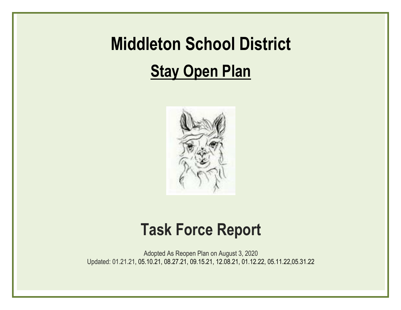# **Middleton School District Stay Open Plan**



# **Task Force Report**

Adopted As Reopen Plan on August 3, 2020 Updated: 01.21.21, 05.10.21, 08.27.21, 09.15.21, 12.08.21, 01.12.22, 05.11.22,05.31.22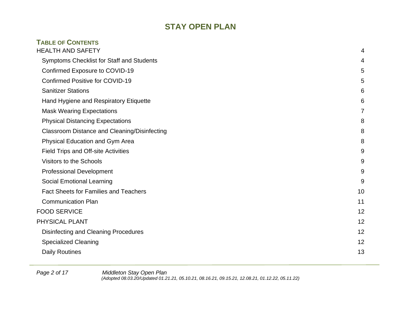| <b>TABLE OF CONTENTS</b>                            |                |
|-----------------------------------------------------|----------------|
| <b>HEALTH AND SAFETY</b>                            | 4              |
| Symptoms Checklist for Staff and Students           | 4              |
| Confirmed Exposure to COVID-19                      | 5              |
| <b>Confirmed Positive for COVID-19</b>              | 5              |
| <b>Sanitizer Stations</b>                           | 6              |
| Hand Hygiene and Respiratory Etiquette              | 6              |
| <b>Mask Wearing Expectations</b>                    | $\overline{7}$ |
| <b>Physical Distancing Expectations</b>             | 8              |
| <b>Classroom Distance and Cleaning/Disinfecting</b> | 8              |
| <b>Physical Education and Gym Area</b>              | 8              |
| <b>Field Trips and Off-site Activities</b>          | 9              |
| <b>Visitors to the Schools</b>                      | 9              |
| <b>Professional Development</b>                     | 9              |
| <b>Social Emotional Learning</b>                    | 9              |
| <b>Fact Sheets for Families and Teachers</b>        | 10             |
| <b>Communication Plan</b>                           | 11             |
| <b>FOOD SERVICE</b>                                 | 12             |
| PHYSICAL PLANT                                      | 12             |
| <b>Disinfecting and Cleaning Procedures</b>         | 12             |
| <b>Specialized Cleaning</b>                         | 12             |
| <b>Daily Routines</b>                               | 13             |

*Page 2 of 17 Middleton Stay Open Plan (Adopted 08.03.20/Updated 01.21.21, 05.10.21, 08.16.21, 09.15.21, 12.08.21, 01.12.22, 05.11.22)*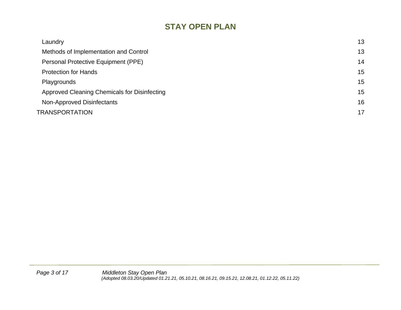| Laundry                                      | 13 |
|----------------------------------------------|----|
| Methods of Implementation and Control        | 13 |
| Personal Protective Equipment (PPE)          | 14 |
| <b>Protection for Hands</b>                  | 15 |
| Playgrounds                                  | 15 |
| Approved Cleaning Chemicals for Disinfecting | 15 |
| Non-Approved Disinfectants                   | 16 |
| TRANSPORTATION                               | 17 |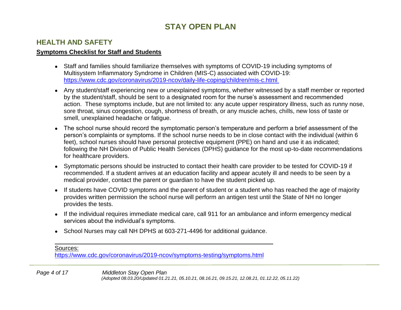## <span id="page-3-0"></span>**HEALTH AND SAFETY**

#### <span id="page-3-1"></span>**Symptoms Checklist for Staff and Students**

- Staff and families should familiarize themselves with symptoms of COVID-19 including symptoms of Multisystem Inflammatory Syndrome in Children (MIS-C) associated with COVID-19: <https://www.cdc.gov/coronavirus/2019-ncov/daily-life-coping/children/mis-c.html>
- Any student/staff experiencing new or unexplained symptoms, whether witnessed by a staff member or reported by the student/staff, should be sent to a designated room for the nurse's assessment and recommended action. These symptoms include, but are not limited to: any acute upper respiratory illness, such as runny nose, sore throat, sinus congestion, cough, shortness of breath, or any muscle aches, chills, new loss of taste or smell, unexplained headache or fatigue.
- The school nurse should record the symptomatic person's temperature and perform a brief assessment of the person's complaints or symptoms. If the school nurse needs to be in close contact with the individual (within 6 feet), school nurses should have personal protective equipment (PPE) on hand and use it as indicated; following the NH Division of Public Health Services (DPHS) guidance for the most up-to-date recommendations for healthcare providers.
- Symptomatic persons should be instructed to contact their health care provider to be tested for COVID-19 if recommended. If a student arrives at an education facility and appear acutely ill and needs to be seen by a medical provider, contact the parent or guardian to have the student picked up.
- If students have COVID symptoms and the parent of student or a student who has reached the age of majority provides written permission the school nurse will perform an antigen test until the State of NH no longer provides the tests.
- If the individual requires immediate medical care, call 911 for an ambulance and inform emergency medical services about the individual's symptoms.
- School Nurses may call NH DPHS at 603-271-4496 for additional guidance.

Sources:

<https://www.cdc.gov/coronavirus/2019-ncov/symptoms-testing/symptoms.html>

*Page 4 of 17 Middleton Stay Open Plan (Adopted 08.03.20/Updated 01.21.21, 05.10.21, 08.16.21, 09.15.21, 12.08.21, 01.12.22, 05.11.22)*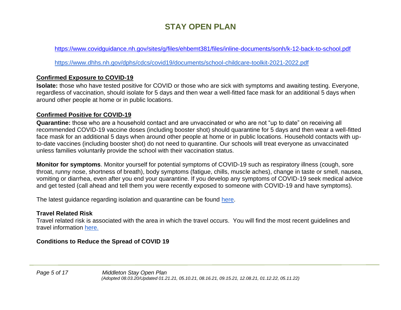<https://www.covidguidance.nh.gov/sites/g/files/ehbemt381/files/inline-documents/sonh/k-12-back-to-school.pdf>

<https://www.dhhs.nh.gov/dphs/cdcs/covid19/documents/school-childcare-toolkit-2021-2022.pdf>

## <span id="page-4-0"></span>**Confirmed Exposure to COVID-19**

**Isolate:** those who have tested positive for COVID or those who are sick with symptoms and awaiting testing. Everyone, regardless of vaccination, should isolate for 5 days and then wear a well-fitted face mask for an additional 5 days when around other people at home or in public locations.

## <span id="page-4-1"></span>**Confirmed Positive for COVID-19**

**Quarantine:** those who are a household contact and are unvaccinated or who are not "up to date" on receiving all recommended COVID-19 vaccine doses (including booster shot) should quarantine for 5 days and then wear a well-fitted face mask for an additional 5 days when around other people at home or in public locations. Household contacts with upto-date vaccines (including booster shot) do not need to quarantine. Our schools will treat everyone as unvaccinated unless families voluntarily provide the school with their vaccination status.

**Monitor for symptoms**. Monitor yourself for potential symptoms of COVID-19 such as respiratory illness (cough, sore throat, runny nose, shortness of breath), body symptoms (fatigue, chills, muscle aches), change in taste or smell, nausea, vomiting or diarrhea, even after you end your quarantine. If you develop any symptoms of COVID-19 seek medical advice and get tested (call ahead and tell them you were recently exposed to someone with COVID-19 and have symptoms).

The latest guidance regarding isolation and quarantine can be found [here.](https://www.covid19.nh.gov/sites/g/files/ehbemt481/files/inline-documents/sonh/isolation-and-quarantine-recommendations_0.pdf)

## **Travel Related Risk**

Travel related risk is associated with the area in which the travel occurs. You will find the most recent guidelines and travel information [here.](https://www.cdc.gov/coronavirus/2019-ncov/travelers/map-and-travel-notices.html)

## **Conditions to Reduce the Spread of COVID 19**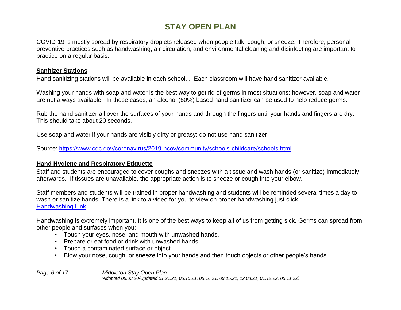COVID-19 is mostly spread by respiratory droplets released when people talk, cough, or sneeze. Therefore, personal preventive practices such as handwashing, air circulation, and environmental cleaning and disinfecting are important to practice on a regular basis.

#### <span id="page-5-0"></span>**Sanitizer Stations**

Hand sanitizing stations will be available in each school. . Each classroom will have hand sanitizer available.

Washing your hands with soap and water is the best way to get rid of germs in most situations; however, soap and water are not always available. In those cases, an alcohol (60%) based hand sanitizer can be used to help reduce germs.

Rub the hand sanitizer all over the surfaces of your hands and through the fingers until your hands and fingers are dry. This should take about 20 seconds.

Use soap and water if your hands are visibly dirty or greasy; do not use hand sanitizer.

[So](https://www.cdc.gov/coronavirus/2019-ncov/community/schools-childcare/schools.html)urce:<https://www.cdc.gov/coronavirus/2019-ncov/community/schools-childcare/schools.html>

#### <span id="page-5-1"></span>**Hand Hygiene and Respiratory Etiquette**

Staff and students are encouraged to cover coughs and sneezes with a tissue and wash hands (or sanitize) immediately afterwards. If tissues are unavailable, the appropriate action is to sneeze or cough into your elbow.

Staff members and students will be trained in proper handwashing and students will be reminded several times a day to wash or sanitize hands. There is a link to a video for you to view on proper handwashing just click: [Handwashing Link](https://youtu.be/yBCEsVa4WMU)

Handwashing is extremely important. It is one of the best ways to keep all of us from getting sick. Germs can spread from other people and surfaces when you:

- Touch your eyes, nose, and mouth with unwashed hands.
- Prepare or eat food or drink with unwashed hands.
- Touch a contaminated surface or object.
- Blow your nose, cough, or sneeze into your hands and then touch objects or other people's hands.

*Page 6 of 17 Middleton Stay Open Plan (Adopted 08.03.20/Updated 01.21.21, 05.10.21, 08.16.21, 09.15.21, 12.08.21, 01.12.22, 05.11.22)*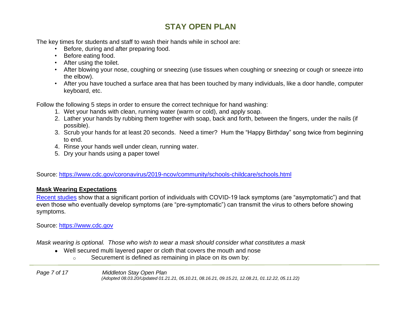The key times for students and staff to wash their hands while in school are:

- Before, during and after preparing food.
- Before eating food.
- After using the toilet.
- After blowing your nose, coughing or sneezing (use tissues when coughing or sneezing or cough or sneeze into the elbow).
- After you have touched a surface area that has been touched by many individuals, like a door handle, computer keyboard, etc.

Follow the following 5 steps in order to ensure the correct technique for hand washing:

- 1. Wet your hands with clean, running water (warm or cold), and apply soap.
- 2. Lather your hands by rubbing them together with soap, back and forth, between the fingers, under the nails (if possible).
- 3. Scrub your hands for at least 20 seconds. Need a timer? Hum the "Happy Birthday" song twice from beginning to end.
- 4. Rinse your hands well under clean, running water.
- 5. Dry your hands using a paper towel

[So](https://www.cdc.gov/coronavirus/2019-ncov/community/schools-childcare/schools.html)urce:<https://www.cdc.gov/coronavirus/2019-ncov/community/schools-childcare/schools.html>

#### <span id="page-6-0"></span>**Mask Wearing Expectations**

[Recent studies](https://www.cdc.gov/coronavirus/2019-ncov/prevent-getting-sick/cloth-face-cover-guidance.html#recent-studies) show that a significant portion of individuals with COVID-19 lack symptoms (are "asymptomatic") and that even those who eventually develop symptoms (are "pre-symptomatic") can transmit the virus to others before showing symptoms.

Source: [https://www.cdc.gov](https://www.cdc.gov/coronavirus/2019-ncov/community/schools-childcare/schools.html)

*Mask wearing is optional. Those who wish to wear a mask should consider what constitutes a mask*

- Well secured multi layered paper or cloth that covers the mouth and nose
	- o Securement is defined as remaining in place on its own by:

*Page 7 of 17 Middleton Stay Open Plan (Adopted 08.03.20/Updated 01.21.21, 05.10.21, 08.16.21, 09.15.21, 12.08.21, 01.12.22, 05.11.22)*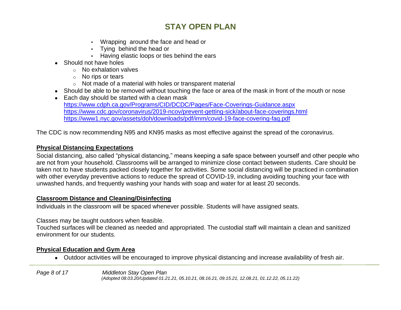- Wrapping around the face and head or
- Tying behind the head or
- Having elastic loops or ties behind the ears
- Should not have holes
	- o No exhalation valves
	- o No rips or tears
	- o Not made of a material with holes or transparent material
- Should be able to be removed without touching the face or area of the mask in front of the mouth or nose
- Each day should be started with a clean mask <https://www.cdph.ca.gov/Programs/CID/DCDC/Pages/Face-Coverings-Guidance.aspx> <https://www.cdc.gov/coronavirus/2019-ncov/prevent-getting-sick/about-face-coverings.html> <https://www1.nyc.gov/assets/doh/downloads/pdf/imm/covid-19-face-covering-faq.pdf>

The CDC is now recommending N95 and KN95 masks as most effective against the spread of the coronavirus[.](https://www1.nyc.gov/assets/doh/downloads/pdf/imm/covid-19-face-covering-faq.pdf)

## <span id="page-7-0"></span>**Physical Distancing Expectations**

Social distancing, also called "physical distancing," means keeping a safe space between yourself and other people who are not from your household. Classrooms will be arranged to minimize close contact between students. Care should be taken not to have students packed closely together for activities. Some social distancing will be practiced in combination with other [everyday preventive actions t](https://www.cdc.gov/coronavirus/2019-ncov/prevent-getting-sick/prevention.html)o reduce the spread of COVID-19, including avoiding touching your face with unwashed hands, and frequently washing your hands with soap and water for at least 20 seconds.

## <span id="page-7-1"></span>**Classroom Distance and Cleaning/Disinfecting**

Individuals in the classroom will be spaced whenever possible. Students will have assigned seats.

Classes may be taught outdoors when feasible.

Touched surfaces will be cleaned as needed and appropriated. The custodial staff will maintain a clean and sanitized environment for our student*s.*

## <span id="page-7-2"></span>**Physical Education and Gym Area**

● Outdoor activities will be encouraged to improve physical distancing and increase availability of fresh air.

*Page 8 of 17 Middleton Stay Open Plan (Adopted 08.03.20/Updated 01.21.21, 05.10.21, 08.16.21, 09.15.21, 12.08.21, 01.12.22, 05.11.22)*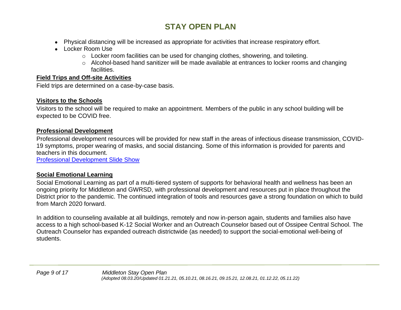- Physical distancing will be increased as appropriate for activities that increase respiratory effort.
- Locker Room Use
	- $\circ$  Locker room facilities can be used for changing clothes, showering, and toileting.
	- o Alcohol-based hand sanitizer will be made available at entrances to locker rooms and changing facilities.

## <span id="page-8-0"></span>**Field Trips and Off-site Activities**

Field trips are determined on a case-by-case basis.

## <span id="page-8-1"></span>**Visitors to the Schools**

Visitors to the school will be required to make an appointment. Members of the public in any school building will be expected to be COVID free.

## <span id="page-8-2"></span>**Professional Development**

Professional development resources will be provided for new staff in the areas of infectious disease transmission, COVID-19 symptoms, proper wearing of masks, and social distancing. Some of this information is provided for parents and teachers in this document.

[Professional Development Slide Show](https://docs.google.com/presentation/d/13jh85gqt45smdw-2FRgr8yjXXDiH6sJnm_w2VlZkjc0/edit?usp=sharing)

## <span id="page-8-3"></span>**Social Emotional Learning**

Social Emotional Learning as part of a multi-tiered system of supports for behavioral health and wellness has been an ongoing priority for Middleton and GWRSD, with professional development and resources put in place throughout the District prior to the pandemic. The continued integration of tools and resources gave a strong foundation on which to build from March 2020 forward.

In addition to counseling available at all buildings, remotely and now in-person again, students and families also have access to a high school-based K-12 Social Worker and an Outreach Counselor based out of Ossipee Central School. The Outreach Counselor has expanded outreach districtwide (as needed) to support the social-emotional well-being of students.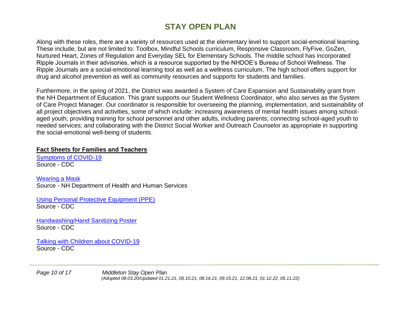Along with these roles, there are a variety of resources used at the elementary level to support social-emotional learning. These include, but are not limited to: Toolbox, Mindful Schools curriculum, Responsive Classroom, FlyFive, GoZen, Nurtured Heart, Zones of Regulation and Everyday SEL for Elementary Schools. The middle school has incorporated Ripple Journals in their advisories, which is a resource supported by the NHDOE's Bureau of School Wellness. The Ripple Journals are a social-emotional learning tool as well as a wellness curriculum. The high school offers support for drug and alcohol prevention as well as community resources and supports for students and families.

Furthermore, in the spring of 2021, the District was awarded a System of Care Expansion and Sustainability grant from the NH Department of Education. This grant supports our Student Wellness Coordinator, who also serves as the System of Care Project Manager. Our coordinator is responsible for overseeing the planning, implementation, and sustainability of all project objectives and activities, some of which include: increasing awareness of mental health issues among schoolaged youth; providing training for school personnel and other adults, including parents; connecting school-aged youth to needed services; and collaborating with the District Social Worker and Outreach Counselor as appropriate in supporting the social-emotional well-being of students.

#### <span id="page-9-0"></span>**Fact Sheets for Families and Teachers**

[Symptoms of COVID-19](https://www.cdc.gov/coronavirus/2019-ncov/symptoms-testing/symptoms.html) Source - CDC

[Wearing a Mask](https://www.dhhs.nh.gov/dphs/cdcs/covid19/covid-mask-guidance.pdf) Source - NH Department of Health and Human Services

[Using Personal Protective Equipment \(PPE\)](https://www.cdc.gov/coronavirus/2019-ncov/hcp/using-ppe.html) Source - CDC

[Handwashing/Hand Sanitizing Poster](https://drive.google.com/file/d/1RnH1ng9qQXdr3SHe6jLeSGILCrB1rdF2/view?usp=sharing) Source - CDC

[Talking with Children about COVID-19](https://www.cdc.gov/coronavirus/2019-ncov/daily-life-coping/talking-with-children.html) Source - CDC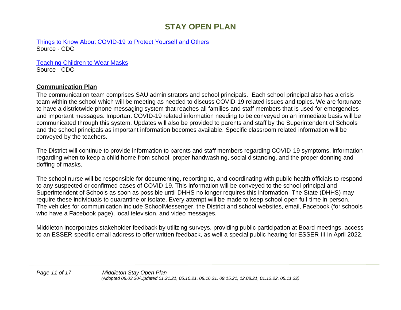[Things to Know About COVID-19 to Protect Yourself and Others](https://www.cdc.gov/coronavirus/2019-ncov/your-health/need-to-know.html) Source - CDC

[Teaching Children to Wear Masks](https://extapps.childrenshospital.org/EFPEC/Home/Sheet/6309) Source - CDC

#### <span id="page-10-0"></span>**Communication Plan**

The communication team comprises SAU administrators and school principals. Each school principal also has a crisis team within the school which will be meeting as needed to discuss COVID-19 related issues and topics. We are fortunate to have a districtwide phone messaging system that reaches all families and staff members that is used for emergencies and important messages. Important COVID-19 related information needing to be conveyed on an immediate basis will be communicated through this system. Updates will also be provided to parents and staff by the Superintendent of Schools and the school principals as important information becomes available. Specific classroom related information will be conveyed by the teachers.

The District will continue to provide information to parents and staff members regarding COVID-19 symptoms, information regarding when to keep a child home from school, proper handwashing, social distancing, and the proper donning and doffing of masks.

The school nurse will be responsible for documenting, reporting to, and coordinating with public health officials to respond to any suspected or confirmed cases of COVID-19. This information will be conveyed to the school principal and Superintendent of Schools as soon as possible until DHHS no longer requires this information The State (DHHS) may require these individuals to quarantine or isolate. Every attempt will be made to keep school open full-time in-person. The vehicles for communication include SchoolMessenger, the District and school websites, email, Facebook (for schools who have a Facebook page), local television, and video messages.

Middleton incorporates stakeholder feedback by utilizing surveys, providing public participation at Board meetings, access to an ESSER-specific email address to offer written feedback, as well a special public hearing for ESSER III in April 2022.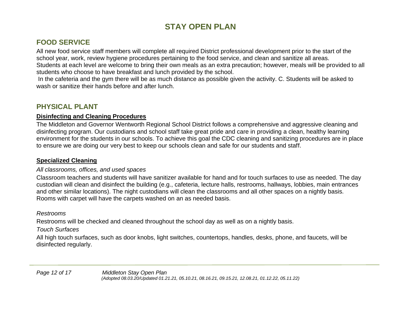## <span id="page-11-0"></span>**FOOD SERVICE**

All new food service staff members will complete all required District professional development prior to the start of the school year, work, review hygiene procedures pertaining to the food service, and clean and sanitize all areas. Students at each level are welcome to bring their own meals as an extra precaution; however, meals will be provided to all students who choose to have breakfast and lunch provided by the school.

In the cafeteria and the gym there will be as much distance as possible given the activity. C. Students will be asked to wash or sanitize their hands before and after lunch.

## <span id="page-11-1"></span>**PHYSICAL PLANT**

## <span id="page-11-2"></span>**Disinfecting and Cleaning Procedures**

The Middleton and Governor Wentworth Regional School District follows a comprehensive and aggressive cleaning and disinfecting program. Our custodians and school staff take great pride and care in providing a clean, healthy learning environment for the students in our schools. To achieve this goal the CDC cleaning and sanitizing procedures are in place to ensure we are doing our very best to keep our schools clean and safe for our students and staff.

## <span id="page-11-3"></span>**Specialized Cleaning**

## *All classrooms, offices, and used spaces*

Classroom teachers and students will have sanitizer available for hand and for touch surfaces to use as needed. The day custodian will clean and disinfect the building (e.g., cafeteria, lecture halls, restrooms, hallways, lobbies, main entrances and other similar locations). The night custodians will clean the classrooms and all other spaces on a nightly basis. Rooms with carpet will have the carpets washed on an as needed basis.

## *Restrooms*

Restrooms will be checked and cleaned throughout the school day as well as on a nightly basis.

## *Touch Surfaces*

All high touch surfaces, such as door knobs, light switches, countertops, handles, desks, phone, and faucets, will be disinfected regularly.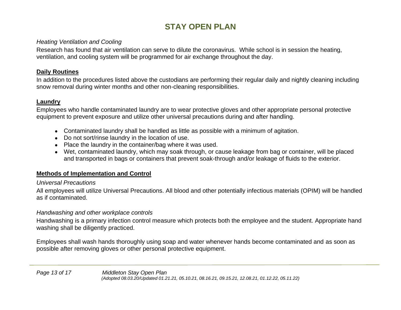#### *Heating Ventilation and Cooling*

Research has found that air ventilation can serve to dilute the coronavirus. While school is in session the heating, ventilation, and cooling system will be programmed for air exchange throughout the day.

#### <span id="page-12-0"></span>**Daily Routines**

In addition to the procedures listed above the custodians are performing their regular daily and nightly cleaning including snow removal during winter months and other non-cleaning responsibilities.

## <span id="page-12-1"></span>**Laundry**

Employees who handle contaminated laundry are to wear protective gloves and other appropriate personal protective equipment to prevent exposure and utilize other universal precautions during and after handling.

- Contaminated laundry shall be handled as little as possible with a minimum of agitation.
- Do not sort/rinse laundry in the location of use.
- Place the laundry in the container/bag where it was used.
- Wet, contaminated laundry, which may soak through, or cause leakage from bag or container, will be placed and transported in bags or containers that prevent soak-through and/or leakage of fluids to the exterior.

## <span id="page-12-2"></span>**Methods of Implementation and Control**

#### *Universal Precautions*

All employees will utilize Universal Precautions. All blood and other potentially infectious materials (OPIM) will be handled as if contaminated.

#### *Handwashing and other workplace controls*

Handwashing is a primary infection control measure which protects both the employee and the student. Appropriate hand washing shall be diligently practiced.

Employees shall wash hands thoroughly using soap and water whenever hands become contaminated and as soon as possible after removing gloves or other personal protective equipment.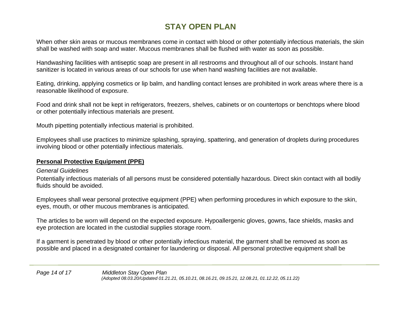When other skin areas or mucous membranes come in contact with blood or other potentially infectious materials, the skin shall be washed with soap and water. Mucous membranes shall be flushed with water as soon as possible.

Handwashing facilities with antiseptic soap are present in all restrooms and throughout all of our schools. Instant hand sanitizer is located in various areas of our schools for use when hand washing facilities are not available.

Eating, drinking, applying cosmetics or lip balm, and handling contact lenses are prohibited in work areas where there is a reasonable likelihood of exposure.

Food and drink shall not be kept in refrigerators, freezers, shelves, cabinets or on countertops or benchtops where blood or other potentially infectious materials are present.

Mouth pipetting potentially infectious material is prohibited.

Employees shall use practices to minimize splashing, spraying, spattering, and generation of droplets during procedures involving blood or other potentially infectious materials.

## <span id="page-13-0"></span>**Personal Protective Equipment (PPE)**

#### *General Guidelines*

Potentially infectious materials of all persons must be considered potentially hazardous. Direct skin contact with all bodily fluids should be avoided.

Employees shall wear personal protective equipment (PPE) when performing procedures in which exposure to the skin, eyes, mouth, or other mucous membranes is anticipated.

The articles to be worn will depend on the expected exposure. Hypoallergenic gloves, gowns, face shields, masks and eye protection are located in the custodial supplies storage room.

If a garment is penetrated by blood or other potentially infectious material, the garment shall be removed as soon as possible and placed in a designated container for laundering or disposal. All personal protective equipment shall be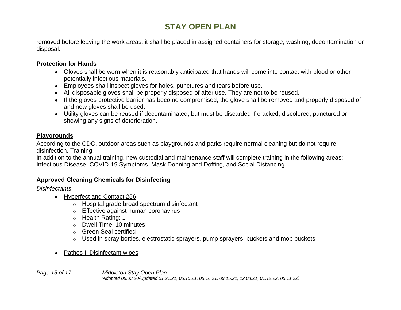removed before leaving the work areas; it shall be placed in assigned containers for storage, washing, decontamination or disposal.

#### <span id="page-14-0"></span>**Protection for Hands**

- Gloves shall be worn when it is reasonably anticipated that hands will come into contact with blood or other potentially infectious materials.
- Employees shall inspect gloves for holes, punctures and tears before use.
- All disposable gloves shall be properly disposed of after use. They are not to be reused.
- If the gloves protective barrier has become compromised, the glove shall be removed and properly disposed of and new gloves shall be used.
- Utility gloves can be reused if decontaminated, but must be discarded if cracked, discolored, punctured or showing any signs of deterioration.

## <span id="page-14-1"></span>**Playgrounds**

According to the CDC, outdoor areas such as playgrounds and parks require normal cleaning but do not require disinfection. Training

In addition to the annual training, new custodial and maintenance staff will complete training in the following areas: Infectious Disease, COVID-19 Symptoms, Mask Donning and Doffing, and Social Distancing.

## <span id="page-14-2"></span>**Approved Cleaning Chemicals for Disinfecting**

*Disinfectants*

- Hyperfect and Contact 256
	- o Hospital grade broad spectrum disinfectant
	- o Effective against human coronavirus
	- o Health Rating: 1
	- o Dwell Time: 10 minutes
	- o Green Seal certified
	- o Used in spray bottles, electrostatic sprayers, pump sprayers, buckets and mop buckets
- Pathos II Disinfectant wipes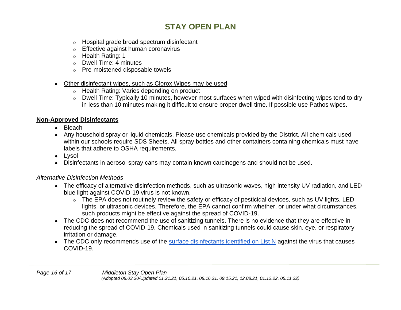- o Hospital grade broad spectrum disinfectant
- o Effective against human coronavirus
- o Health Rating: 1
- o Dwell Time: 4 minutes
- o Pre-moistened disposable towels
- Other disinfectant wipes, such as Clorox Wipes may be used
	- o Health Rating: Varies depending on product
	- o Dwell Time: Typically 10 minutes, however most surfaces when wiped with disinfecting wipes tend to dry in less than 10 minutes making it difficult to ensure proper dwell time. If possible use Pathos wipes.

## <span id="page-15-0"></span>**Non-Approved Disinfectants**

- Bleach
- Any household spray or liquid chemicals. Please use chemicals provided by the District. All chemicals used within our schools require SDS Sheets. All spray bottles and other containers containing chemicals must have labels that adhere to OSHA requirements.
- Lysol
- Disinfectants in aerosol spray cans may contain known carcinogens and should not be used.

## *Alternative Disinfection Methods*

- The efficacy of alternative disinfection methods, such as ultrasonic waves, high intensity UV radiation, and LED blue light against COVID-19 virus is not known.
	- o The EPA does not routinely review the safety or efficacy of pesticidal devices, such as UV lights, LED lights, or ultrasonic devices. Therefore, the EPA cannot confirm whether, or under what circumstances, such products might be effective against the spread of COVID-19.
- The CDC does not recommend the use of sanitizing tunnels. There is no evidence that they are effective in reducing the spread of COVID-19. Chemicals used in sanitizing tunnels could cause skin, eye, or respiratory irritation or damage.
- The CDC only recommends use of the [surface disinfectants identified on List N](https://www.epa.gov/pesticide-registration/list-n-disinfectants-use-against-sars-cov-2) against the virus that causes COVID-19.